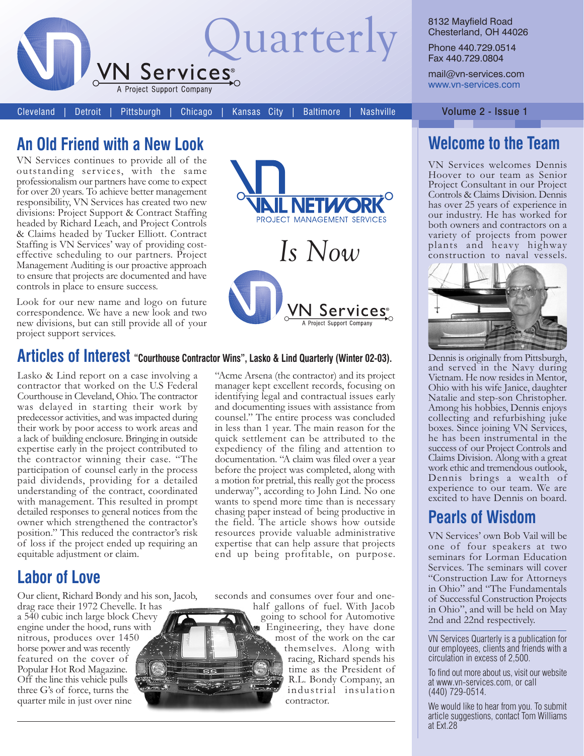

8132 Mayfield Road Chesterland, OH 44026

Phone 440.729.0514 Fax 440.729.0804

mail@vn-services.com www.vn-services.com

Cleveland Detroit Pittsburgh Chicago

Kansas City **Baltimore**  **Nashville** 

### An Old Friend with a New Look

VN Services continues to provide all of the outstanding services, with the same professionalism our partners have come to expect for over 20 years. To achieve better management responsibility, VN Services has created two new divisions: Project Support & Contract Staffing headed by Richard Leach, and Project Controls & Claims headed by Tucker Elliott. Contract Staffing is VN Services' way of providing costeffective scheduling to our partners. Project Management Auditing is our proactive approach to ensure that projects are documented and have controls in place to ensure success.

Look for our new name and logo on future correspondence. We have a new look and two new divisions, but can still provide all of your project support services.



#### Articles of Interest "Courthouse Contractor Wins", Lasko & Lind Quarterly (Winter 02-03).

Lasko & Lind report on a case involving a contractor that worked on the U.S Federal Courthouse in Cleveland, Ohio. The contractor was delayed in starting their work by predecessor activities, and was impacted during their work by poor access to work areas and a lack of building enclosure. Bringing in outside expertise early in the project contributed to the contractor winning their case. "The participation of counsel early in the process paid dividends, providing for a detailed understanding of the contract, coordinated with management. This resulted in prompt detailed responses to general notices from the owner which strengthened the contractor's position." This reduced the contractor's risk of loss if the project ended up requiring an equitable adjustment or claim.

## **Labor of Love**

Our client, Richard Bondy and his son, Jacob, drag race their 1972 Chevelle. It has a 540 cubic inch large block Chevy engine under the hood, runs with nitrous, produces over 1450 horse power and was recently featured on the cover of Popular Hot Rod Magazine. Off the line this vehicle pulls three G's of force, turns the quarter mile in just over nine

"Acme Arsena (the contractor) and its project manager kept excellent records, focusing on identifying legal and contractual issues early and documenting issues with assistance from counsel." The entire process was concluded in less than 1 year. The main reason for the quick settlement can be attributed to the expediency of the filing and attention to documentation. "A claim was filed over a year before the project was completed, along with a motion for pretrial, this really got the process underway", according to John Lind. No one wants to spend more time than is necessary chasing paper instead of being productive in the field. The article shows how outside resources provide valuable administrative expertise that can help assure that projects end up being profitable, on purpose.

seconds and consumes over four and onehalf gallons of fuel. With Jacob going to school for Automotive Engineering, they have done most of the work on the car themselves. Along with racing, Richard spends his time as the President of R.L. Bondy Company, an industrial insulation contractor.

Volume 2 - Issue 1

## **Welcome to the Team**

VN Services welcomes Dennis Hoover to our team as Senior Project Consultant in our Project Controls & Claims Division. Dennis has over 25 years of experience in our industry. He has worked for both owners and contractors on a variety of projects from power plants and heavy highway construction to naval vessels.



Dennis is originally from Pittsburgh. and served in the Navy during Vietnam. He now resides in Mentor, Ohio with his wife Janice, daughter Natalie and step-son Christopher. Among his hobbies, Dennis enjoys collecting and refurbishing juke boxes. Since joining VN Services, he has been instrumental in the success of our Project Controls and Claims Division. Along with a great work ethic and tremendous outlook, Dennis brings a wealth of experience to our team. We are excited to have Dennis on board.

#### **Pearls of Wisdom**

VN Services' own Bob Vail will be one of four speakers at two seminars for Lorman Education Services. The seminars will cover "Construction Law for Attorneys in Ohio" and "The Fundamentals<br>of Successful Construction Projects in Ohio", and will be held on May 2nd and 22nd respectively.

VN Services Quarterly is a publication for our employees, clients and friends with a circulation in excess of 2,500.

To find out more about us, visit our website at www.vn-services.com, or call (440) 729-0514.

We would like to hear from you. To submit article suggestions, contact Tom Williams at Ext.28